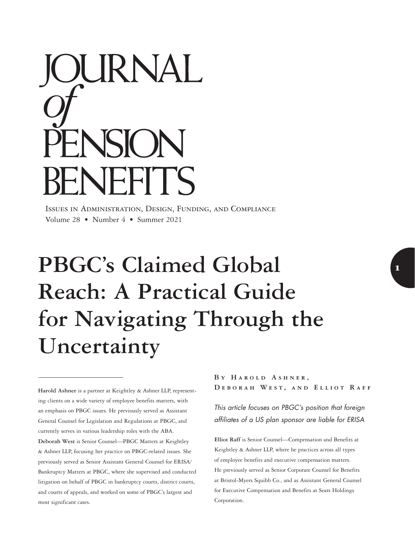# OURNAL ENSION **BENEFITS**

Issues in Administration, Design, Funding, and Compliance Volume 28 • Number 4 • Summer 2021

# **PBGC's Claimed Global Reach: A Practical Guide for Navigating Through the Uncertainty**

**Harold Ashner** is a partner at Keightley & Ashner LLP, representing clients on a wide variety of employee benefits matters, with an emphasis on PBGC issues. He previously served as Assistant General Counsel for Legislation and Regulations at PBGC, and currently serves in various leadership roles with the ABA. **Deborah West** is Senior Counsel—PBGC Matters at Keightley & Ashner LLP, focusing her practice on PBGC-related issues. She previously served as Senior Assistant General Counsel for ERISA/ Bankruptcy Matters at PBGC, where she supervised and conducted litigation on behalf of PBGC in bankruptcy courts, district courts, and courts of appeals, and worked on some of PBGC's largest and most significant cases.

BY HAROLD ASHNER, **Deborah West, and Elliot Raff**

*This article focuses on PBGC's position that foreign affiliates of a US plan sponsor are liable for ERISA* 

**Elliot Raff** is Senior Counsel—Compensation and Benefits at Keightley & Ashner LLP, where he practices across all types of employee benefits and executive compensation matters. He previously served as Senior Corporate Counsel for Benefits at Bristol-Myers Squibb Co., and as Assistant General Counsel for Executive Compensation and Benefits at Sears Holdings Corporation.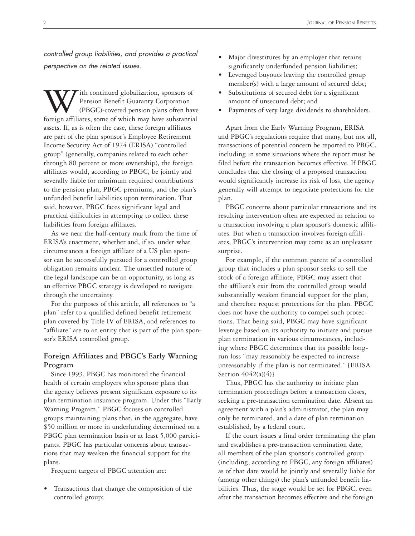*controlled group liabilities, and provides a practical perspective on the related issues.*

ith continued globalization, sponsors of Pension Benefit Guaranty Corporation (PBGC)-covered pension plans often have foreign affiliates, some of which may have substantial assets. If, as is often the case, these foreign affiliates are part of the plan sponsor's Employee Retirement Income Security Act of 1974 (ERISA) "controlled group" (generally, companies related to each other through 80 percent or more ownership), the foreign affiliates would, according to PBGC, be jointly and severally liable for minimum required contributions to the pension plan, PBGC premiums, and the plan's unfunded benefit liabilities upon termination. That said, however, PBGC faces significant legal and practical difficulties in attempting to collect these liabilities from foreign affiliates.

As we near the half-century mark from the time of ERISA's enactment, whether and, if so, under what circumstances a foreign affiliate of a US plan sponsor can be successfully pursued for a controlled group obligation remains unclear. The unsettled nature of the legal landscape can be an opportunity, as long as an effective PBGC strategy is developed to navigate through the uncertainty.

For the purposes of this article, all references to "a plan" refer to a qualified defined benefit retirement plan covered by Title IV of ERISA, and references to "affiliate" are to an entity that is part of the plan sponsor's ERISA controlled group.

# **Foreign Affiliates and PBGC's Early Warning Program**

Since 1993, PBGC has monitored the financial health of certain employers who sponsor plans that the agency believes present significant exposure to its plan termination insurance program. Under this "Early Warning Program," PBGC focuses on controlled groups maintaining plans that, in the aggregate, have \$50 million or more in underfunding determined on a PBGC plan termination basis or at least 5,000 participants. PBGC has particular concerns about transactions that may weaken the financial support for the plans.

Frequent targets of PBGC attention are:

• Transactions that change the composition of the controlled group;

- Major divestitures by an employer that retains significantly underfunded pension liabilities;
- Leveraged buyouts leaving the controlled group member(s) with a large amount of secured debt;
- Substitutions of secured debt for a significant amount of unsecured debt; and
- Payments of very large dividends to shareholders.

Apart from the Early Warning Program, ERISA and PBGC's regulations require that many, but not all, transactions of potential concern be reported to PBGC, including in some situations where the report must be filed before the transaction becomes effective. If PBGC concludes that the closing of a proposed transaction would significantly increase its risk of loss, the agency generally will attempt to negotiate protections for the plan.

PBGC concerns about particular transactions and its resulting intervention often are expected in relation to a transaction involving a plan sponsor's domestic affiliates. But when a transaction involves foreign affiliates, PBGC's intervention may come as an unpleasant surprise.

For example, if the common parent of a controlled group that includes a plan sponsor seeks to sell the stock of a foreign affiliate, PBGC may assert that the affiliate's exit from the controlled group would substantially weaken financial support for the plan, and therefore request protections for the plan. PBGC does not have the authority to compel such protections. That being said, PBGC may have significant leverage based on its authority to initiate and pursue plan termination in various circumstances, including where PBGC determines that its possible longrun loss "may reasonably be expected to increase unreasonably if the plan is not terminated." [ERISA Section  $4042(a)(4)$ ]

Thus, PBGC has the authority to initiate plan termination proceedings before a transaction closes, seeking a pre-transaction termination date. Absent an agreement with a plan's administrator, the plan may only be terminated, and a date of plan termination established, by a federal court.

If the court issues a final order terminating the plan and establishes a pre-transaction termination date, all members of the plan sponsor's controlled group (including, according to PBGC, any foreign affiliates) as of that date would be jointly and severally liable for (among other things) the plan's unfunded benefit liabilities. Thus, the stage would be set for PBGC, even after the transaction becomes effective and the foreign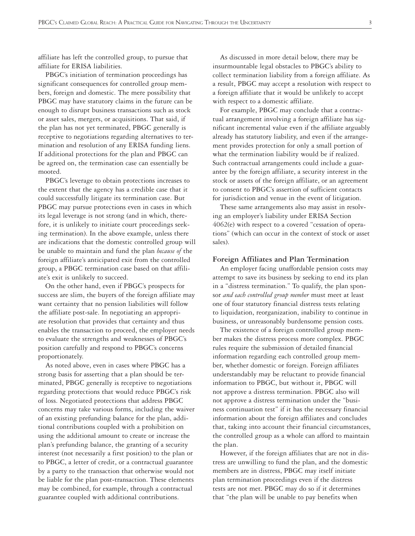affiliate has left the controlled group, to pursue that affiliate for ERISA liabilities.

PBGC's initiation of termination proceedings has significant consequences for controlled group members, foreign and domestic. The mere possibility that PBGC may have statutory claims in the future can be enough to disrupt business transactions such as stock or asset sales, mergers, or acquisitions. That said, if the plan has not yet terminated, PBGC generally is receptive to negotiations regarding alternatives to termination and resolution of any ERISA funding liens. If additional protections for the plan and PBGC can be agreed on, the termination case can essentially be mooted.

PBGC's leverage to obtain protections increases to the extent that the agency has a credible case that it could successfully litigate its termination case. But PBGC may pursue protections even in cases in which its legal leverage is not strong (and in which, therefore, it is unlikely to initiate court proceedings seeking termination). In the above example, unless there are indications that the domestic controlled group will be unable to maintain and fund the plan *because of* the foreign affiliate's anticipated exit from the controlled group, a PBGC termination case based on that affiliate's exit is unlikely to succeed.

On the other hand, even if PBGC's prospects for success are slim, the buyers of the foreign affiliate may want certainty that no pension liabilities will follow the affiliate post-sale. In negotiating an appropriate resolution that provides that certainty and thus enables the transaction to proceed, the employer needs to evaluate the strengths and weaknesses of PBGC's position carefully and respond to PBGC's concerns proportionately.

As noted above, even in cases where PBGC has a strong basis for asserting that a plan should be terminated, PBGC generally is receptive to negotiations regarding protections that would reduce PBGC's risk of loss. Negotiated protections that address PBGC concerns may take various forms, including the waiver of an existing prefunding balance for the plan, additional contributions coupled with a prohibition on using the additional amount to create or increase the plan's prefunding balance, the granting of a security interest (not necessarily a first position) to the plan or to PBGC, a letter of credit, or a contractual guarantee by a party to the transaction that otherwise would not be liable for the plan post-transaction. These elements may be combined, for example, through a contractual guarantee coupled with additional contributions.

As discussed in more detail below, there may be insurmountable legal obstacles to PBGC's ability to collect termination liability from a foreign affiliate. As a result, PBGC may accept a resolution with respect to a foreign affiliate that it would be unlikely to accept with respect to a domestic affiliate.

For example, PBGC may conclude that a contractual arrangement involving a foreign affiliate has significant incremental value even if the affiliate arguably already has statutory liability, and even if the arrangement provides protection for only a small portion of what the termination liability would be if realized. Such contractual arrangements could include a guarantee by the foreign affiliate, a security interest in the stock or assets of the foreign affiliate, or an agreement to consent to PBGC's assertion of sufficient contacts for jurisdiction and venue in the event of litigation.

These same arrangements also may assist in resolving an employer's liability under ERISA Section 4062(e) with respect to a covered "cessation of operations" (which can occur in the context of stock or asset sales).

#### **Foreign Affiliates and Plan Termination**

An employer facing unaffordable pension costs may attempt to save its business by seeking to end its plan in a "distress termination." To qualify, the plan sponsor *and each controlled group member* must meet at least one of four statutory financial distress tests relating to liquidation, reorganization, inability to continue in business, or unreasonably burdensome pension costs.

The existence of a foreign controlled group member makes the distress process more complex. PBGC rules require the submission of detailed financial information regarding each controlled group member, whether domestic or foreign. Foreign affiliates understandably may be reluctant to provide financial information to PBGC, but without it, PBGC will not approve a distress termination. PBGC also will not approve a distress termination under the "business continuation test" if it has the necessary financial information about the foreign affiliates and concludes that, taking into account their financial circumstances, the controlled group as a whole can afford to maintain the plan.

However, if the foreign affiliates that are not in distress are unwilling to fund the plan, and the domestic members are in distress, PBGC may itself initiate plan termination proceedings even if the distress tests are not met. PBGC may do so if it determines that "the plan will be unable to pay benefits when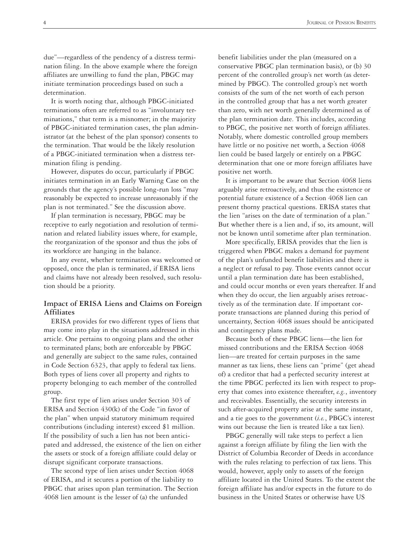due"—regardless of the pendency of a distress termination filing. In the above example where the foreign affiliates are unwilling to fund the plan, PBGC may initiate termination proceedings based on such a determination.

It is worth noting that, although PBGC-initiated terminations often are referred to as "involuntary terminations," that term is a misnomer; in the majority of PBGC-initiated termination cases, the plan administrator (at the behest of the plan sponsor) consents to the termination. That would be the likely resolution of a PBGC-initiated termination when a distress termination filing is pending.

However, disputes do occur, particularly if PBGC initiates termination in an Early Warning Case on the grounds that the agency's possible long-run loss "may reasonably be expected to increase unreasonably if the plan is not terminated." See the discussion above.

If plan termination is necessary, PBGC may be receptive to early negotiation and resolution of termination and related liability issues where, for example, the reorganization of the sponsor and thus the jobs of its workforce are hanging in the balance.

In any event, whether termination was welcomed or opposed, once the plan is terminated, if ERISA liens and claims have not already been resolved, such resolution should be a priority.

# **Impact of ERISA Liens and Claims on Foreign Affiliates**

ERISA provides for two different types of liens that may come into play in the situations addressed in this article. One pertains to ongoing plans and the other to terminated plans; both are enforceable by PBGC and generally are subject to the same rules, contained in Code Section 6323, that apply to federal tax liens. Both types of liens cover all property and rights to property belonging to each member of the controlled group.

The first type of lien arises under Section 303 of ERISA and Section 430(k) of the Code "in favor of the plan" when unpaid statutory minimum required contributions (including interest) exceed \$1 million. If the possibility of such a lien has not been anticipated and addressed, the existence of the lien on either the assets or stock of a foreign affiliate could delay or disrupt significant corporate transactions.

The second type of lien arises under Section 4068 of ERISA, and it secures a portion of the liability to PBGC that arises upon plan termination. The Section 4068 lien amount is the lesser of (a) the unfunded

benefit liabilities under the plan (measured on a conservative PBGC plan termination basis), or (b) 30 percent of the controlled group's net worth (as determined by PBGC). The controlled group's net worth consists of the sum of the net worth of each person in the controlled group that has a net worth greater than zero, with net worth generally determined as of the plan termination date. This includes, according to PBGC, the positive net worth of foreign affiliates. Notably, where domestic controlled group members have little or no positive net worth, a Section 4068 lien could be based largely or entirely on a PBGC determination that one or more foreign affiliates have positive net worth.

It is important to be aware that Section 4068 liens arguably arise retroactively, and thus the existence or potential future existence of a Section 4068 lien can present thorny practical questions. ERISA states that the lien "arises on the date of termination of a plan." But whether there is a lien and, if so, its amount, will not be known until sometime after plan termination.

More specifically, ERISA provides that the lien is triggered when PBGC makes a demand for payment of the plan's unfunded benefit liabilities and there is a neglect or refusal to pay. Those events cannot occur until a plan termination date has been established, and could occur months or even years thereafter. If and when they do occur, the lien arguably arises retroactively as of the termination date. If important corporate transactions are planned during this period of uncertainty, Section 4068 issues should be anticipated and contingency plans made.

Because both of these PBGC liens—the lien for missed contributions and the ERISA Section 4068 lien—are treated for certain purposes in the same manner as tax liens, these liens can "prime" (get ahead of) a creditor that had a perfected security interest at the time PBGC perfected its lien with respect to property that comes into existence thereafter, *e.g.*, inventory and receivables. Essentially, the security interests in such after-acquired property arise at the same instant, and a tie goes to the government (*i.e.*, PBGC's interest wins out because the lien is treated like a tax lien).

PBGC generally will take steps to perfect a lien against a foreign affiliate by filing the lien with the District of Columbia Recorder of Deeds in accordance with the rules relating to perfection of tax liens. This would, however, apply only to assets of the foreign affiliate located in the United States. To the extent the foreign affiliate has and/or expects in the future to do business in the United States or otherwise have US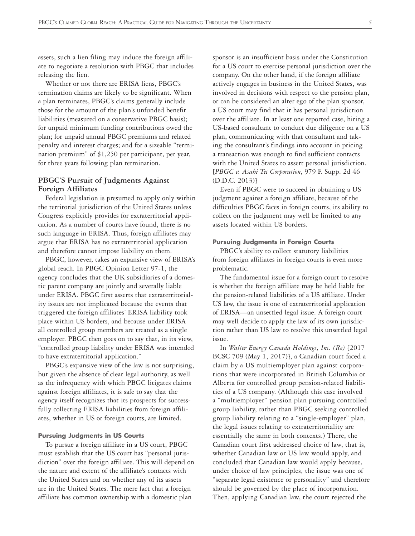assets, such a lien filing may induce the foreign affiliate to negotiate a resolution with PBGC that includes releasing the lien.

Whether or not there are ERISA liens, PBGC's termination claims are likely to be significant. When a plan terminates, PBGC's claims generally include those for the amount of the plan's unfunded benefit liabilities (measured on a conservative PBGC basis); for unpaid minimum funding contributions owed the plan; for unpaid annual PBGC premiums and related penalty and interest charges; and for a sizeable "termination premium" of \$1,250 per participant, per year, for three years following plan termination.

## **PBGC'S Pursuit of Judgments Against Foreign Affiliates**

Federal legislation is presumed to apply only within the territorial jurisdiction of the United States unless Congress explicitly provides for extraterritorial application. As a number of courts have found, there is no such language in ERISA. Thus, foreign affiliates may argue that ERISA has no extraterritorial application and therefore cannot impose liability on them.

PBGC, however, takes an expansive view of ERISA's global reach. In PBGC Opinion Letter 97-1, the agency concludes that the UK subsidiaries of a domestic parent company are jointly and severally liable under ERISA. PBGC first asserts that extraterritoriality issues are not implicated because the events that triggered the foreign affiliates' ERISA liability took place within US borders, and because under ERISA all controlled group members are treated as a single employer. PBGC then goes on to say that, in its view, "controlled group liability under ERISA was intended to have extraterritorial application."

PBGC's expansive view of the law is not surprising, but given the absence of clear legal authority, as well as the infrequency with which PBGC litigates claims against foreign affiliates, it is safe to say that the agency itself recognizes that its prospects for successfully collecting ERISA liabilities from foreign affiliates, whether in US or foreign courts, are limited.

#### **Pursuing Judgments in US Courts**

To pursue a foreign affiliate in a US court, PBGC must establish that the US court has "personal jurisdiction" over the foreign affiliate. This will depend on the nature and extent of the affiliate's contacts with the United States and on whether any of its assets are in the United States. The mere fact that a foreign affiliate has common ownership with a domestic plan

sponsor is an insufficient basis under the Constitution for a US court to exercise personal jurisdiction over the company. On the other hand, if the foreign affiliate actively engages in business in the United States, was involved in decisions with respect to the pension plan, or can be considered an alter ego of the plan sponsor, a US court may find that it has personal jurisdiction over the affiliate. In at least one reported case, hiring a US-based consultant to conduct due diligence on a US plan, communicating with that consultant and taking the consultant's findings into account in pricing a transaction was enough to find sufficient contacts with the United States to assert personal jurisdiction. [*PBGC v. Asahi Tec Corporation*, 979 F. Supp. 2d 46 (D.D.C. 2013)]

Even if PBGC were to succeed in obtaining a US judgment against a foreign affiliate, because of the difficulties PBGC faces in foreign courts, its ability to collect on the judgment may well be limited to any assets located within US borders.

### **Pursuing Judgments in Foreign Courts**

PBGC's ability to collect statutory liabilities from foreign affiliates in foreign courts is even more problematic.

The fundamental issue for a foreign court to resolve is whether the foreign affiliate may be held liable for the pension-related liabilities of a US affiliate. Under US law, the issue is one of extraterritorial application of ERISA—an unsettled legal issue. A foreign court may well decide to apply the law of its own jurisdiction rather than US law to resolve this unsettled legal issue.

In *Walter Energy Canada Holdings, Inc. (Re)* [2017 BCSC 709 (May 1, 2017)], a Canadian court faced a claim by a US multiemployer plan against corporations that were incorporated in British Columbia or Alberta for controlled group pension-related liabilities of a US company. (Although this case involved a "multiemployer" pension plan pursuing controlled group liability, rather than PBGC seeking controlled group liability relating to a "single-employer" plan, the legal issues relating to extraterritoriality are essentially the same in both contexts.) There, the Canadian court first addressed choice of law, that is, whether Canadian law or US law would apply, and concluded that Canadian law would apply because, under choice of law principles, the issue was one of "separate legal existence or personality" and therefore should be governed by the place of incorporation. Then, applying Canadian law, the court rejected the